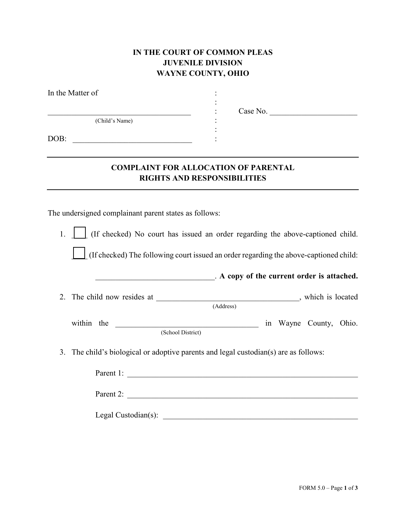## **IN THE COURT OF COMMON PLEAS JUVENILE DIVISION WAYNE COUNTY, OHIO**

| In the Matter of |                       |
|------------------|-----------------------|
|                  | Case No.<br>$\bullet$ |
| (Child's Name)   | $\blacksquare$        |
| DOB:             |                       |
|                  |                       |

## **COMPLAINT FOR ALLOCATION OF PARENTAL RIGHTS AND RESPONSIBILITIES**

The undersigned complainant parent states as follows:

1.  $\Box$  (If checked) No court has issued an order regarding the above-captioned child. \_\_\_\_ (If checked) The following court issued an order regarding the above-captioned child:

\_\_\_\_\_\_\_\_\_\_\_\_\_\_\_\_\_\_\_\_\_\_\_\_\_\_\_\_\_\_. **A copy of the current order is attached.**

2. The child now resides at \_\_\_\_\_\_\_\_\_\_\_\_\_\_\_\_\_\_\_\_\_\_\_\_\_\_\_\_\_\_\_\_, which is located (Address)

within the **EXECUTE 2008** in Wayne County, Ohio. (School District)

3. The child's biological or adoptive parents and legal custodian(s) are as follows:

| Parent 1:           |  |  |
|---------------------|--|--|
| Parent 2:           |  |  |
| Legal Custodian(s): |  |  |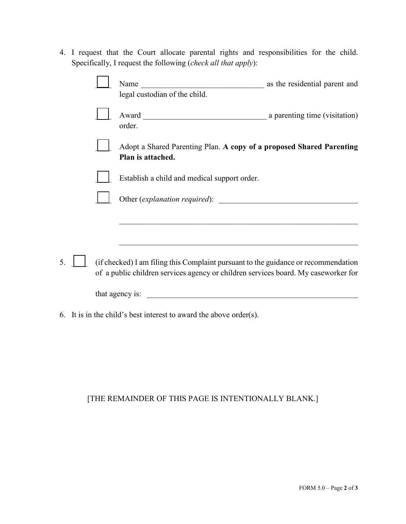4. I request that the Court allocate parental rights and responsibilities for the child. Specifically, I request the following (*check all that apply*):

|    | Name<br><u> 1989 - Jan Barbara, manazarta bashkar a shekara tsh</u><br>legal custodian of the child.                                                                     | as the residential parent and |
|----|--------------------------------------------------------------------------------------------------------------------------------------------------------------------------|-------------------------------|
|    | order.                                                                                                                                                                   |                               |
|    | Adopt a Shared Parenting Plan. A copy of a proposed Shared Parenting<br>Plan is attached.                                                                                |                               |
|    | Establish a child and medical support order.                                                                                                                             |                               |
|    |                                                                                                                                                                          |                               |
|    |                                                                                                                                                                          |                               |
| 5. | (if checked) I am filing this Complaint pursuant to the guidance or recommendation<br>of a public children services agency or children services board. My caseworker for |                               |
|    | that agency is:<br><u> 1980 - Jan Barbara, martin da kasar Amerikaan kasar da</u>                                                                                        |                               |

6. It is in the child's best interest to award the above order(s).

## [THE REMAINDER OF THIS PAGE IS INTENTIONALLY BLANK.]